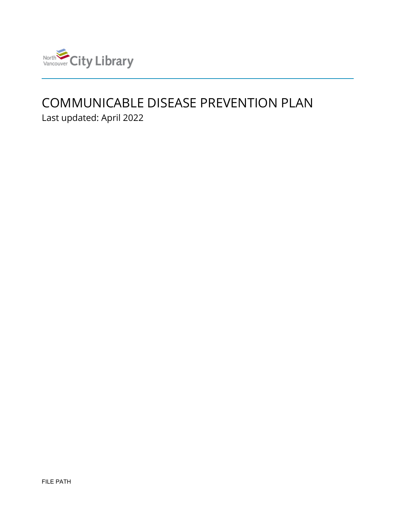

# COMMUNICABLE DISEASE PREVENTION PLAN

Last updated: April 2022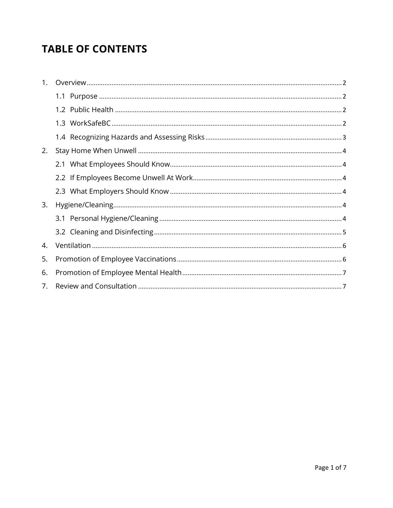# **TABLE OF CONTENTS**

| $1_{-}$ |  |
|---------|--|
|         |  |
|         |  |
|         |  |
|         |  |
| 2.      |  |
|         |  |
|         |  |
|         |  |
| 3.      |  |
|         |  |
|         |  |
| 4.      |  |
| 5.      |  |
| 6.      |  |
| 7.      |  |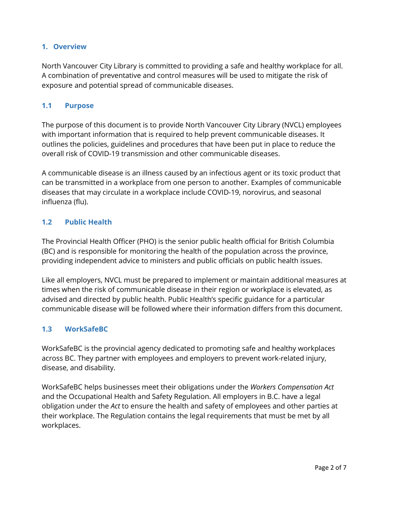## <span id="page-2-0"></span>**1. Overview**

North Vancouver City Library is committed to providing a safe and healthy workplace for all. A combination of preventative and control measures will be used to mitigate the risk of exposure and potential spread of communicable diseases.

# <span id="page-2-1"></span>**1.1 Purpose**

The purpose of this document is to provide North Vancouver City Library (NVCL) employees with important information that is required to help prevent communicable diseases. It outlines the policies, guidelines and procedures that have been put in place to reduce the overall risk of COVID-19 transmission and other communicable diseases.

A communicable disease is an illness caused by an infectious agent or its toxic product that can be transmitted in a workplace from one person to another. Examples of communicable diseases that may circulate in a workplace include COVID-19, norovirus, and seasonal influenza (flu).

# <span id="page-2-2"></span>**1.2 Public Health**

The Provincial Health Officer (PHO) is the senior public health official for British Columbia (BC) and is responsible for monitoring the health of the population across the province, providing independent advice to ministers and public officials on public health issues.

Like all employers, NVCL must be prepared to implement or maintain additional measures at times when the risk of communicable disease in their region or workplace is elevated, as advised and directed by public health. Public Health's specific guidance for a particular communicable disease will be followed where their information differs from this document.

#### <span id="page-2-3"></span>**1.3 WorkSafeBC**

WorkSafeBC is the provincial agency dedicated to promoting safe and healthy workplaces across BC. They partner with employees and employers to prevent work-related injury, disease, and disability.

WorkSafeBC helps businesses meet their obligations under the *Workers Compensation Act* and the Occupational Health and Safety Regulation. All employers in B.C. have a legal obligation under the *Act* to ensure the health and safety of employees and other parties at their workplace. The Regulation contains the legal requirements that must be met by all workplaces.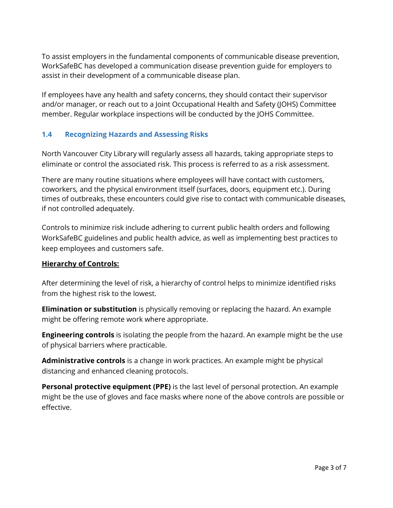To assist employers in the fundamental components of communicable disease prevention, WorkSafeBC has developed a communication disease prevention guide for employers to assist in their development of a communicable disease plan.

If employees have any health and safety concerns, they should contact their supervisor and/or manager, or reach out to a Joint Occupational Health and Safety (JOHS) Committee member. Regular workplace inspections will be conducted by the JOHS Committee.

# <span id="page-3-0"></span>**1.4 Recognizing Hazards and Assessing Risks**

North Vancouver City Library will regularly assess all hazards, taking appropriate steps to eliminate or control the associated risk. This process is referred to as a risk assessment.

There are many routine situations where employees will have contact with customers, coworkers, and the physical environment itself (surfaces, doors, equipment etc.). During times of outbreaks, these encounters could give rise to contact with communicable diseases, if not controlled adequately.

Controls to minimize risk include adhering to current public health orders and following WorkSafeBC guidelines and public health advice, as well as implementing best practices to keep employees and customers safe.

#### **Hierarchy of Controls:**

After determining the level of risk, a hierarchy of control helps to minimize identified risks from the highest risk to the lowest.

**Elimination or substitution** is physically removing or replacing the hazard. An example might be offering remote work where appropriate.

**Engineering controls** is isolating the people from the hazard. An example might be the use of physical barriers where practicable.

**Administrative controls** is a change in work practices. An example might be physical distancing and enhanced cleaning protocols.

**Personal protective equipment (PPE)** is the last level of personal protection. An example might be the use of gloves and face masks where none of the above controls are possible or effective.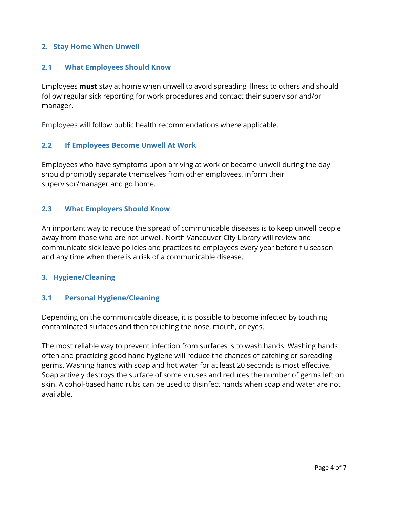#### <span id="page-4-0"></span>**2. Stay Home When Unwell**

#### <span id="page-4-1"></span>**2.1 What Employees Should Know**

Employees **must** stay at home when unwell to avoid spreading illness to others and should follow regular sick reporting for work procedures and contact their supervisor and/or manager.

Employees will follow public health recommendations where applicable.

#### <span id="page-4-2"></span>**2.2 If Employees Become Unwell At Work**

Employees who have symptoms upon arriving at work or become unwell during the day should promptly separate themselves from other employees, inform their supervisor/manager and go home.

#### <span id="page-4-3"></span>**2.3 What Employers Should Know**

An important way to reduce the spread of communicable diseases is to keep unwell people away from those who are not unwell. North Vancouver City Library will review and communicate sick leave policies and practices to employees every year before flu season and any time when there is a risk of a communicable disease.

#### <span id="page-4-4"></span>**3. Hygiene/Cleaning**

#### <span id="page-4-5"></span>**3.1 Personal Hygiene/Cleaning**

Depending on the communicable disease, it is possible to become infected by touching contaminated surfaces and then touching the nose, mouth, or eyes.

The most reliable way to prevent infection from surfaces is to wash hands. Washing hands often and practicing good hand hygiene will reduce the chances of catching or spreading germs. Washing hands with soap and hot water for at least 20 seconds is most effective. Soap actively destroys the surface of some viruses and reduces the number of germs left on skin. Alcohol-based hand rubs can be used to disinfect hands when soap and water are not available.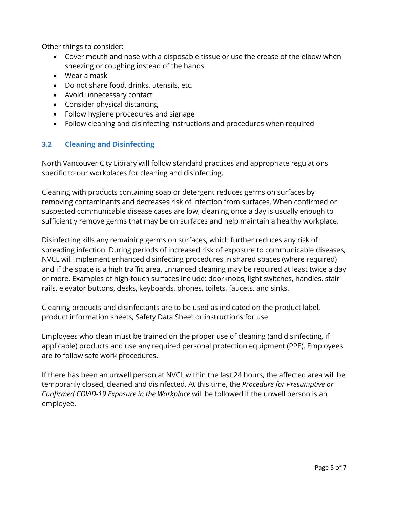Other things to consider:

- Cover mouth and nose with a disposable tissue or use the crease of the elbow when sneezing or coughing instead of the hands
- Wear a mask
- Do not share food, drinks, utensils, etc.
- Avoid unnecessary contact
- Consider physical distancing
- Follow hygiene procedures and signage
- Follow cleaning and disinfecting instructions and procedures when required

## <span id="page-5-0"></span>**3.2 Cleaning and Disinfecting**

North Vancouver City Library will follow standard practices and appropriate regulations specific to our workplaces for cleaning and disinfecting.

Cleaning with products containing soap or detergent reduces germs on surfaces by removing contaminants and decreases risk of infection from surfaces. When confirmed or suspected communicable disease cases are low, cleaning once a day is usually enough to sufficiently remove germs that may be on surfaces and help maintain a healthy workplace.

Disinfecting kills any remaining germs on surfaces, which further reduces any risk of spreading infection. During periods of increased risk of exposure to communicable diseases, NVCL will implement enhanced disinfecting procedures in shared spaces (where required) and if the space is a high traffic area. Enhanced cleaning may be required at least twice a day or more. Examples of high-touch surfaces include: doorknobs, light switches, handles, stair rails, elevator buttons, desks, keyboards, phones, toilets, faucets, and sinks.

Cleaning products and disinfectants are to be used as indicated on the product label, product information sheets, Safety Data Sheet or instructions for use.

Employees who clean must be trained on the proper use of cleaning (and disinfecting, if applicable) products and use any required personal protection equipment (PPE). Employees are to follow safe work procedures.

If there has been an unwell person at NVCL within the last 24 hours, the affected area will be temporarily closed, cleaned and disinfected. At this time, the *Procedure for Presumptive or Confirmed COVID-19 Exposure in the Workplace* will be followed if the unwell person is an employee.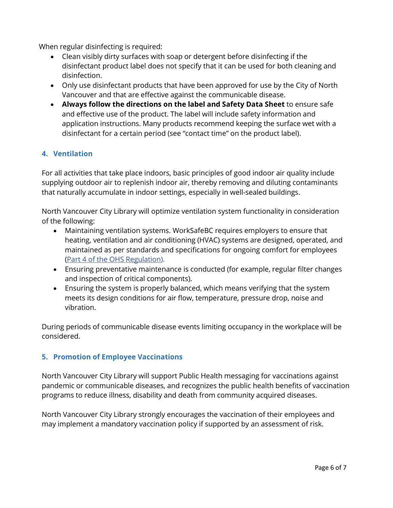When regular disinfecting is required:

- Clean visibly dirty surfaces with soap or detergent before disinfecting if the disinfectant product label does not specify that it can be used for both cleaning and disinfection.
- Only use disinfectant products that have been approved for use by the City of North Vancouver and that are effective against the communicable disease.
- **Always follow the directions on the label and Safety Data Sheet** to ensure safe and effective use of the product. The label will include safety information and application instructions. Many products recommend keeping the surface wet with a disinfectant for a certain period (see "contact time" on the product label).

# <span id="page-6-0"></span>**4. Ventilation**

For all activities that take place indoors, basic principles of good indoor air quality include supplying outdoor air to replenish indoor air, thereby removing and diluting contaminants that naturally accumulate in indoor settings, especially in well-sealed buildings.

North Vancouver City Library will optimize ventilation system functionality in consideration of the following:

- Maintaining ventilation systems. WorkSafeBC requires employers to ensure that heating, ventilation and air conditioning (HVAC) systems are designed, operated, and maintained as per standards and specifications for ongoing comfort for employees [\(Part 4 of the OHS Regulation\)](https://www.worksafebc.com/en/law-policy/occupational-health-safety/searchable-ohs-regulation/ohs-regulation/part-04-general-conditions#SectionNumber:4.70).
- Ensuring preventative maintenance is conducted (for example, regular filter changes and inspection of critical components).
- Ensuring the system is properly balanced, which means verifying that the system meets its design conditions for air flow, temperature, pressure drop, noise and vibration.

During periods of communicable disease events limiting occupancy in the workplace will be considered.

# <span id="page-6-1"></span>**5. Promotion of Employee Vaccinations**

North Vancouver City Library will support Public Health messaging for vaccinations against pandemic or communicable diseases, and recognizes the public health benefits of vaccination programs to reduce illness, disability and death from community acquired diseases.

North Vancouver City Library strongly encourages the vaccination of their employees and may implement a mandatory vaccination policy if supported by an assessment of risk.